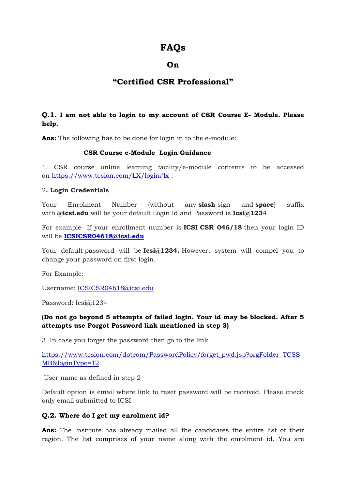# **FAQs**

## **On**

## **"Certified CSR Professional"**

### **Q.1. I am not able to login to my account of CSR Course E- Module. Please help.**

**Ans:** The following has to be done for login in to the e-module:

#### **CSR Course e-Module Login Guidance**

1. CSR course online learning facility/e-module contents to be accessed on <https://www.tcsion.com/LX/login#lx> .

#### 2**. Login Credentials**

Your Enrolment Number (without any **slash** sign and **space**) suffix with **@icsi.edu** will be your default Login Id and Password is **Icsi@123**4

For example- If your enrollment number is **ICSI CSR 046/18** then your login ID will be **[ICSICSR04618@icsi.edu](mailto:ICSICSR04618@icsi.edu)**

Your default password will be **Icsi@1234.** However, system will compel you to change your password on first login.

For Example:

Username: [ICSICSR04618@icsi.edu](mailto:ICSICSR04618@icsi.edu)

Password: Icsi@1234

#### **(Do not go beyond 5 attempts of failed login. Your id may be blocked. After 5 attempts use Forgot Password link mentioned in step 3)**

3. In case you forget the password then go to the link

[https://www.tcsion.com/dotcom/PasswordPolicy/forget\\_pwd.jsp?orgFolder=TCSS](https://www.tcsion.com/dotcom/PasswordPolicy/forget_pwd.jsp?orgFolder=TCSSMB&loginType=12) [MB&loginType=12](https://www.tcsion.com/dotcom/PasswordPolicy/forget_pwd.jsp?orgFolder=TCSSMB&loginType=12)

User name as defined in step 2

Default option is email where link to reset password will be received. Please check only email submitted to ICSI.

#### **Q.2. Where do I get my enrolment id?**

**Ans:** The Institute has already mailed all the candidates the entire list of their region. The list comprises of your name along with the enrolment id. You are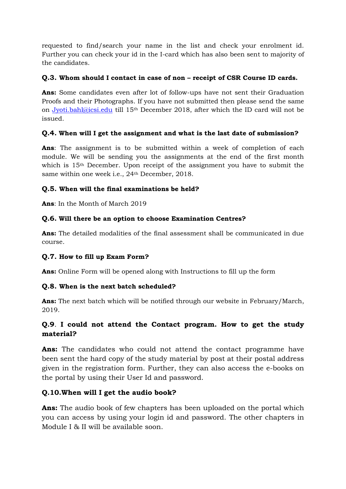requested to find/search your name in the list and check your enrolment id. Further you can check your id in the I-card which has also been sent to majority of the candidates.

### **Q.3. Whom should I contact in case of non – receipt of CSR Course ID cards.**

**Ans:** Some candidates even after lot of follow-ups have not sent their Graduation Proofs and their Photographs. If you have not submitted then please send the same on [Jyoti.bahl@icsi.edu](mailto:Jyoti.bahl@icsi.edu) till 15th December 2018, after which the ID card will not be issued.

### **Q.4. When will I get the assignment and what is the last date of submission?**

**Ans**: The assignment is to be submitted within a week of completion of each module. We will be sending you the assignments at the end of the first month which is 15th December. Upon receipt of the assignment you have to submit the same within one week i.e., 24th December, 2018.

#### **Q.5. When will the final examinations be held?**

**Ans**: In the Month of March 2019

### **Q.6. Will there be an option to choose Examination Centres?**

**Ans:** The detailed modalities of the final assessment shall be communicated in due course.

## **Q.7. How to fill up Exam Form?**

**Ans:** Online Form will be opened along with Instructions to fill up the form

#### **Q.8. When is the next batch scheduled?**

**Ans:** The next batch which will be notified through our website in February/March, 2019.

## **Q.9**. **I could not attend the Contact program. How to get the study material?**

**Ans:** The candidates who could not attend the contact programme have been sent the hard copy of the study material by post at their postal address given in the registration form. Further, they can also access the e-books on the portal by using their User Id and password.

## **Q.10.When will I get the audio book?**

**Ans:** The audio book of few chapters has been uploaded on the portal which you can access by using your login id and password. The other chapters in Module I & II will be available soon.